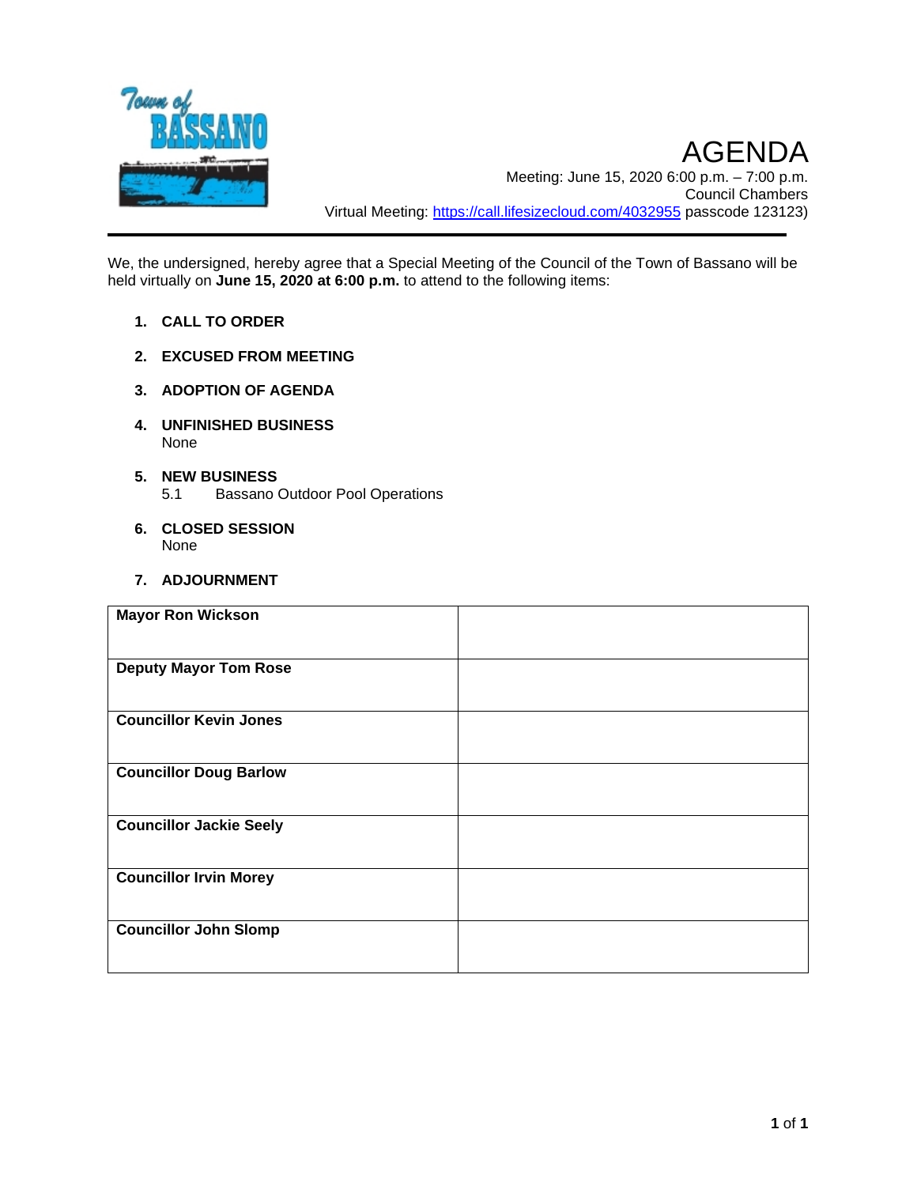

We, the undersigned, hereby agree that a Special Meeting of the Council of the Town of Bassano will be held virtually on **June 15, 2020 at 6:00 p.m.** to attend to the following items:

- **1. CALL TO ORDER**
- **2. EXCUSED FROM MEETING**
- **3. ADOPTION OF AGENDA**
- **4. UNFINISHED BUSINESS** None
- **5. NEW BUSINESS** 5.1 Bassano Outdoor Pool Operations
- **6. CLOSED SESSION** None
- **7. ADJOURNMENT**

| <b>Mayor Ron Wickson</b>       |  |
|--------------------------------|--|
| <b>Deputy Mayor Tom Rose</b>   |  |
| <b>Councillor Kevin Jones</b>  |  |
| <b>Councillor Doug Barlow</b>  |  |
| <b>Councillor Jackie Seely</b> |  |
| <b>Councillor Irvin Morey</b>  |  |
| <b>Councillor John Slomp</b>   |  |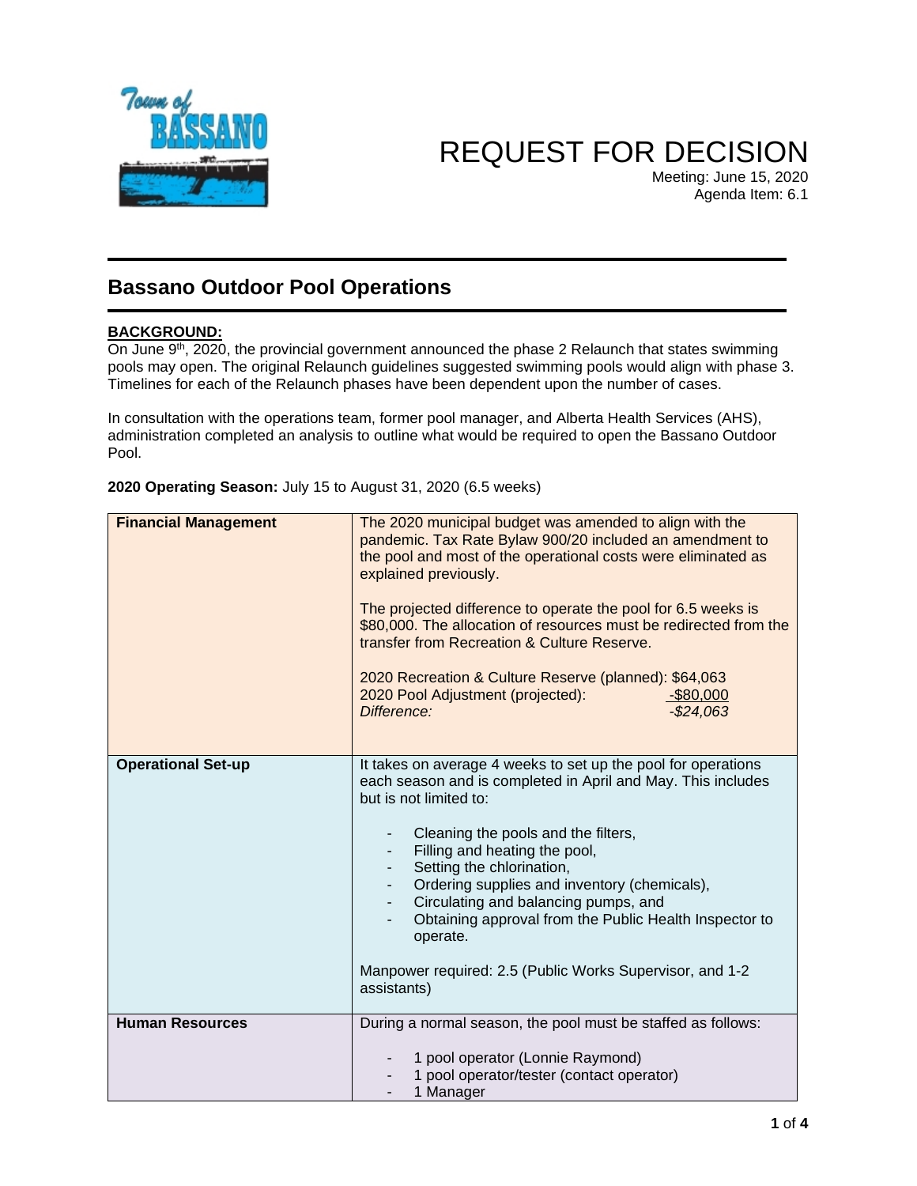

# REQUEST FOR DECISION

Meeting: June 15, 2020 Agenda Item: 6.1

# **Bassano Outdoor Pool Operations**

# **BACKGROUND:**

On June 9<sup>th</sup>, 2020, the provincial government announced the phase 2 Relaunch that states swimming pools may open. The original Relaunch guidelines suggested swimming pools would align with phase 3. Timelines for each of the Relaunch phases have been dependent upon the number of cases.

In consultation with the operations team, former pool manager, and Alberta Health Services (AHS), administration completed an analysis to outline what would be required to open the Bassano Outdoor Pool.

| 2020 Operating Season: July 15 to August 31, 2020 (6.5 weeks) |
|---------------------------------------------------------------|
|---------------------------------------------------------------|

| <b>Financial Management</b> | The 2020 municipal budget was amended to align with the<br>pandemic. Tax Rate Bylaw 900/20 included an amendment to<br>the pool and most of the operational costs were eliminated as<br>explained previously.<br>The projected difference to operate the pool for 6.5 weeks is<br>\$80,000. The allocation of resources must be redirected from the<br>transfer from Recreation & Culture Reserve.                                                                                                    |
|-----------------------------|-------------------------------------------------------------------------------------------------------------------------------------------------------------------------------------------------------------------------------------------------------------------------------------------------------------------------------------------------------------------------------------------------------------------------------------------------------------------------------------------------------|
|                             | 2020 Recreation & Culture Reserve (planned): \$64,063<br>2020 Pool Adjustment (projected):<br>$-$ \$80,000<br>$-$24,063$<br>Difference:                                                                                                                                                                                                                                                                                                                                                               |
| <b>Operational Set-up</b>   | It takes on average 4 weeks to set up the pool for operations<br>each season and is completed in April and May. This includes<br>but is not limited to:<br>Cleaning the pools and the filters,<br>Filling and heating the pool,<br>Setting the chlorination,<br>Ordering supplies and inventory (chemicals),<br>Circulating and balancing pumps, and<br>Obtaining approval from the Public Health Inspector to<br>operate.<br>Manpower required: 2.5 (Public Works Supervisor, and 1-2<br>assistants) |
| <b>Human Resources</b>      | During a normal season, the pool must be staffed as follows:<br>1 pool operator (Lonnie Raymond)<br>1 pool operator/tester (contact operator)<br>1 Manager                                                                                                                                                                                                                                                                                                                                            |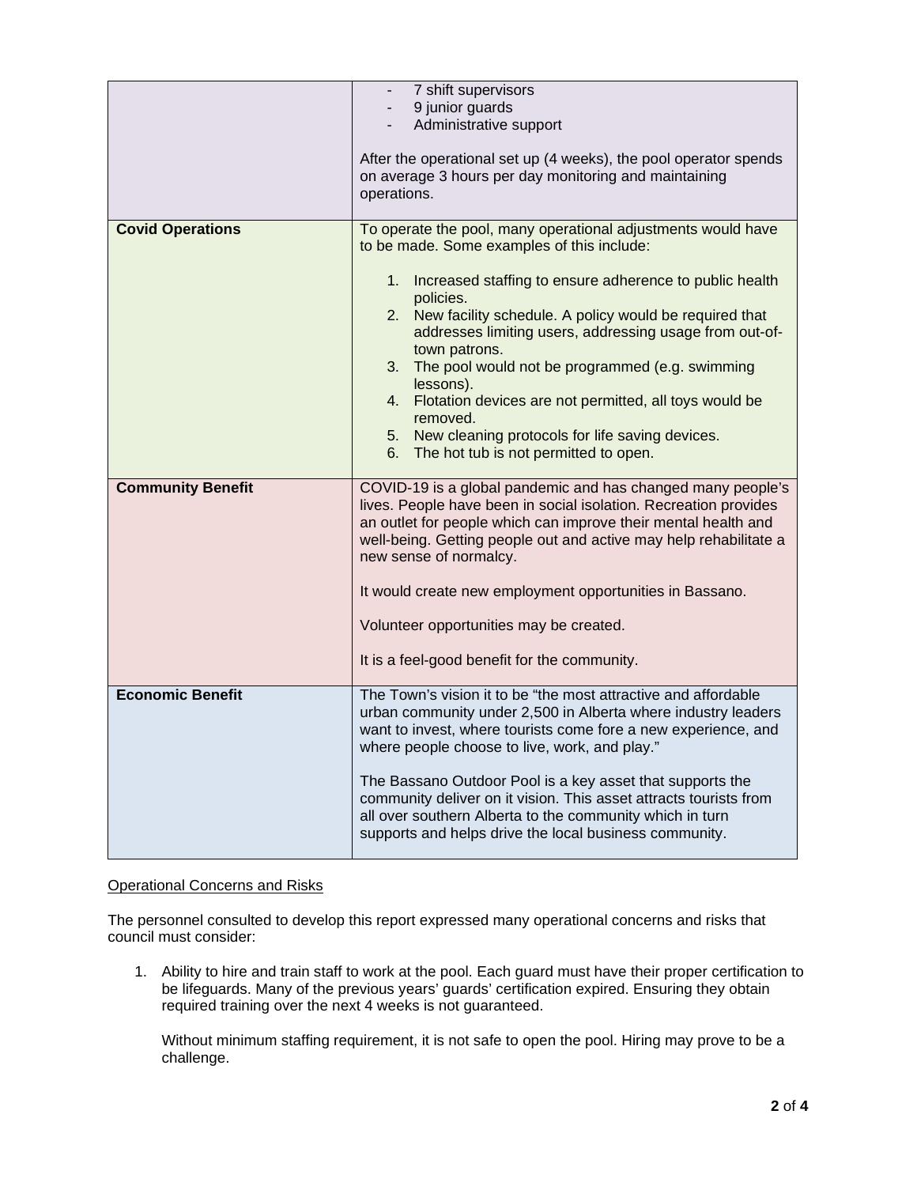|                          | 7 shift supervisors                                                                                                                                                                                                                                                                                                                                                                                                                                            |
|--------------------------|----------------------------------------------------------------------------------------------------------------------------------------------------------------------------------------------------------------------------------------------------------------------------------------------------------------------------------------------------------------------------------------------------------------------------------------------------------------|
|                          | 9 junior guards                                                                                                                                                                                                                                                                                                                                                                                                                                                |
|                          | Administrative support                                                                                                                                                                                                                                                                                                                                                                                                                                         |
|                          | After the operational set up (4 weeks), the pool operator spends<br>on average 3 hours per day monitoring and maintaining<br>operations.                                                                                                                                                                                                                                                                                                                       |
| <b>Covid Operations</b>  | To operate the pool, many operational adjustments would have<br>to be made. Some examples of this include:                                                                                                                                                                                                                                                                                                                                                     |
|                          | 1. Increased staffing to ensure adherence to public health<br>policies.<br>2. New facility schedule. A policy would be required that<br>addresses limiting users, addressing usage from out-of-<br>town patrons.<br>3. The pool would not be programmed (e.g. swimming<br>lessons).<br>4. Flotation devices are not permitted, all toys would be<br>removed.<br>5. New cleaning protocols for life saving devices.<br>6. The hot tub is not permitted to open. |
| <b>Community Benefit</b> | COVID-19 is a global pandemic and has changed many people's<br>lives. People have been in social isolation. Recreation provides<br>an outlet for people which can improve their mental health and<br>well-being. Getting people out and active may help rehabilitate a<br>new sense of normalcy.                                                                                                                                                               |
|                          | It would create new employment opportunities in Bassano.                                                                                                                                                                                                                                                                                                                                                                                                       |
|                          | Volunteer opportunities may be created.                                                                                                                                                                                                                                                                                                                                                                                                                        |
|                          | It is a feel-good benefit for the community.                                                                                                                                                                                                                                                                                                                                                                                                                   |
| <b>Economic Benefit</b>  | The Town's vision it to be "the most attractive and affordable<br>urban community under 2,500 in Alberta where industry leaders<br>want to invest, where tourists come fore a new experience, and<br>where people choose to live, work, and play."                                                                                                                                                                                                             |
|                          | The Bassano Outdoor Pool is a key asset that supports the<br>community deliver on it vision. This asset attracts tourists from<br>all over southern Alberta to the community which in turn<br>supports and helps drive the local business community.                                                                                                                                                                                                           |

#### Operational Concerns and Risks

The personnel consulted to develop this report expressed many operational concerns and risks that council must consider:

1. Ability to hire and train staff to work at the pool. Each guard must have their proper certification to be lifeguards. Many of the previous years' guards' certification expired. Ensuring they obtain required training over the next 4 weeks is not guaranteed.

Without minimum staffing requirement, it is not safe to open the pool. Hiring may prove to be a challenge.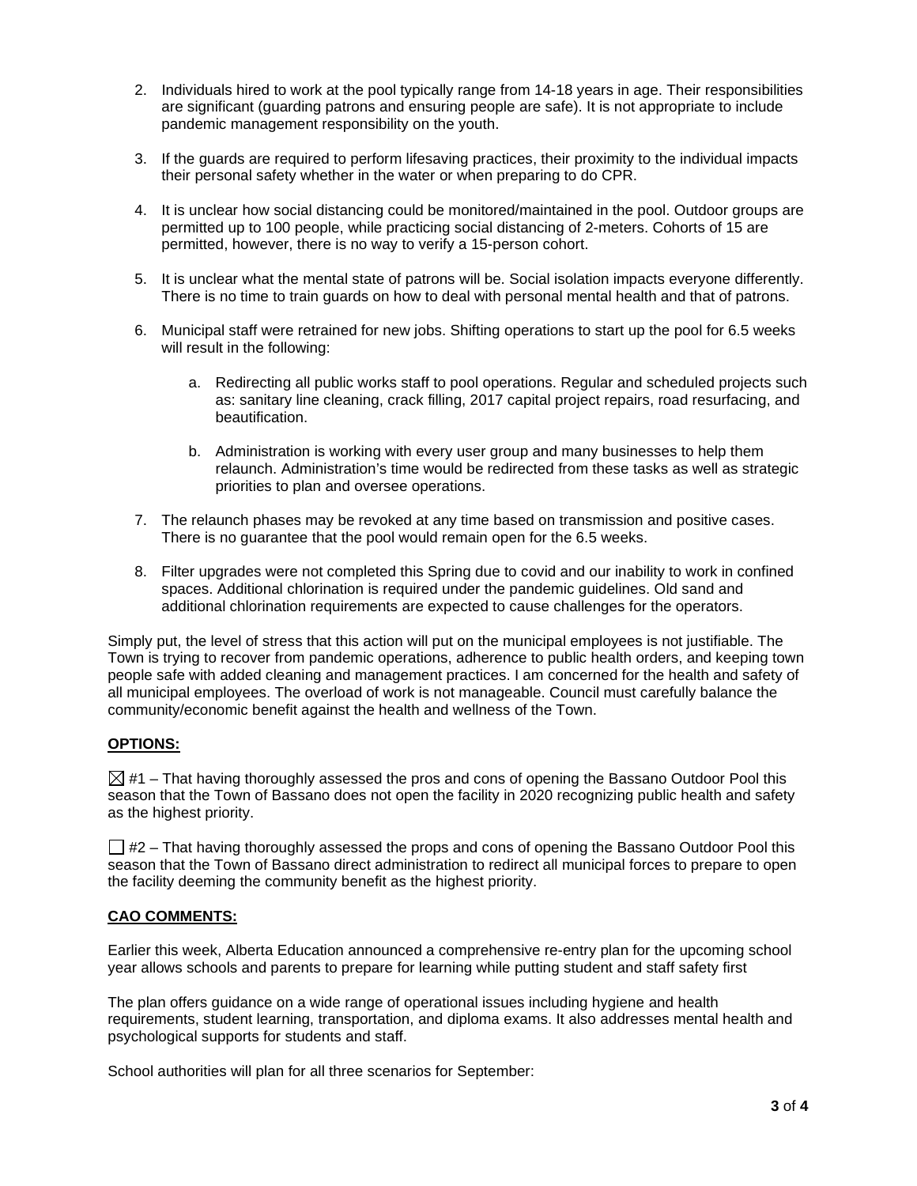- 2. Individuals hired to work at the pool typically range from 14-18 years in age. Their responsibilities are significant (guarding patrons and ensuring people are safe). It is not appropriate to include pandemic management responsibility on the youth.
- 3. If the guards are required to perform lifesaving practices, their proximity to the individual impacts their personal safety whether in the water or when preparing to do CPR.
- 4. It is unclear how social distancing could be monitored/maintained in the pool. Outdoor groups are permitted up to 100 people, while practicing social distancing of 2-meters. Cohorts of 15 are permitted, however, there is no way to verify a 15-person cohort.
- 5. It is unclear what the mental state of patrons will be. Social isolation impacts everyone differently. There is no time to train guards on how to deal with personal mental health and that of patrons.
- 6. Municipal staff were retrained for new jobs. Shifting operations to start up the pool for 6.5 weeks will result in the following:
	- a. Redirecting all public works staff to pool operations. Regular and scheduled projects such as: sanitary line cleaning, crack filling, 2017 capital project repairs, road resurfacing, and beautification.
	- b. Administration is working with every user group and many businesses to help them relaunch. Administration's time would be redirected from these tasks as well as strategic priorities to plan and oversee operations.
- 7. The relaunch phases may be revoked at any time based on transmission and positive cases. There is no guarantee that the pool would remain open for the 6.5 weeks.
- 8. Filter upgrades were not completed this Spring due to covid and our inability to work in confined spaces. Additional chlorination is required under the pandemic guidelines. Old sand and additional chlorination requirements are expected to cause challenges for the operators.

Simply put, the level of stress that this action will put on the municipal employees is not justifiable. The Town is trying to recover from pandemic operations, adherence to public health orders, and keeping town people safe with added cleaning and management practices. I am concerned for the health and safety of all municipal employees. The overload of work is not manageable. Council must carefully balance the community/economic benefit against the health and wellness of the Town.

## **OPTIONS:**

 $\boxtimes$  #1 – That having thoroughly assessed the pros and cons of opening the Bassano Outdoor Pool this season that the Town of Bassano does not open the facility in 2020 recognizing public health and safety as the highest priority.

 $\Box$  #2 – That having thoroughly assessed the props and cons of opening the Bassano Outdoor Pool this season that the Town of Bassano direct administration to redirect all municipal forces to prepare to open the facility deeming the community benefit as the highest priority.

#### **CAO COMMENTS:**

Earlier this week, Alberta Education announced a comprehensive re-entry plan for the upcoming school year allows schools and parents to prepare for learning while putting student and staff safety first

The plan offers guidance on a wide range of operational issues including hygiene and health requirements, student learning, transportation, and diploma exams. It also addresses mental health and psychological supports for students and staff.

School authorities will plan for all three scenarios for September: